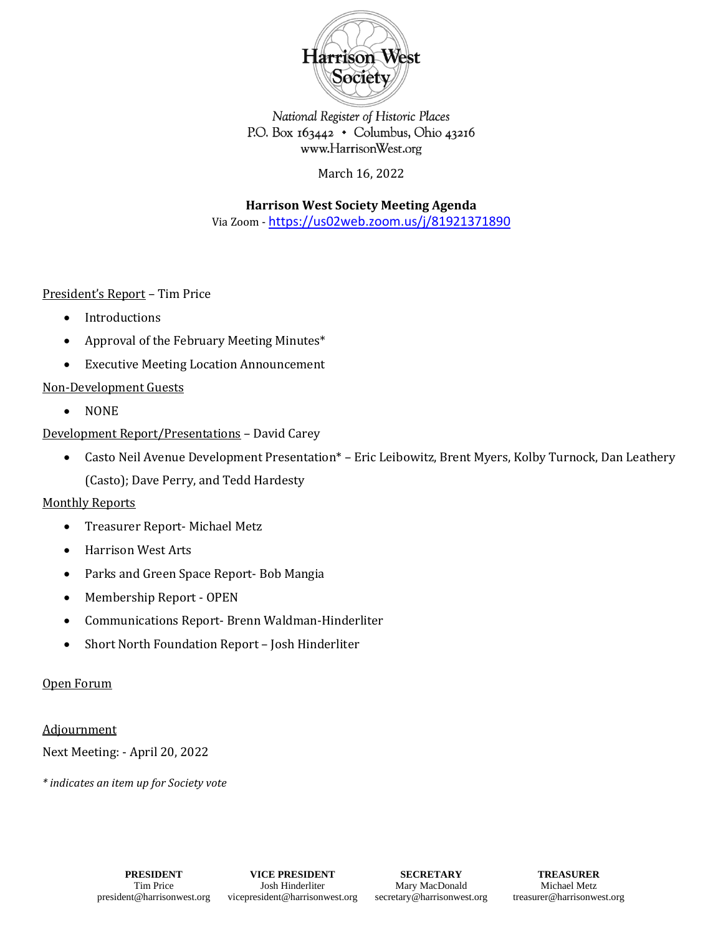

National Register of Historic Places P.O. Box  $163442 \cdot$  Columbus, Ohio 43216 www.HarrisonWest.org

March 16, 2022

**Harrison West Society Meeting Agenda** Via Zoom - [https://us02web.zoom.us/j/81921371890](https://urldefense.com/v3/__https:/us02web.zoom.us/j/81921371890__;!!OdqygGz-7UHvSw!9PQsbvyNKy8I6cBBYJRHXJAP88Qi2f56nv1T1VsOI7FGOmkc1_tqsELRAED05wOWr0utq3iPucE$)

President's Report – Tim Price

- Introductions
- Approval of the February Meeting Minutes\*
- Executive Meeting Location Announcement

# Non-Development Guests

• NONE

# Development Report/Presentations – David Carey

• Casto Neil Avenue Development Presentation\* – Eric Leibowitz, Brent Myers, Kolby Turnock, Dan Leathery (Casto); Dave Perry, and Tedd Hardesty

# Monthly Reports

- Treasurer Report- Michael Metz
- Harrison West Arts
- Parks and Green Space Report- Bob Mangia
- Membership Report OPEN
- Communications Report- Brenn Waldman-Hinderliter
- Short North Foundation Report Josh Hinderliter

### Open Forum

### **Adjournment**

Next Meeting: - April 20, 2022

*\* indicates an item up for Society vote*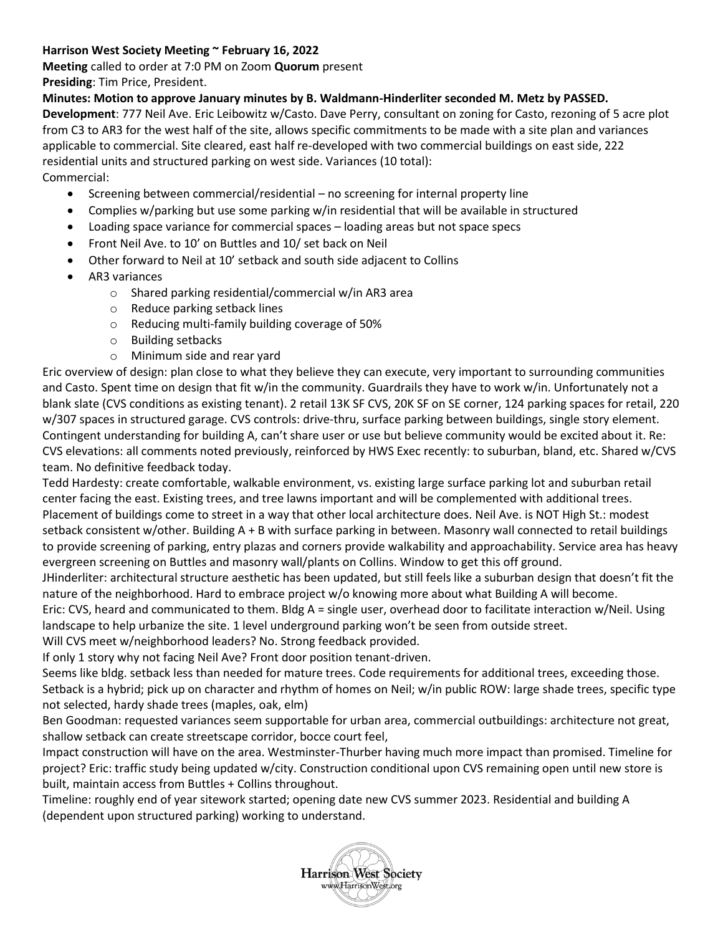### **Harrison West Society Meeting ~ February 16, 2022**

**Meeting** called to order at 7:0 PM on Zoom **Quorum** present **Presiding**: Tim Price, President.

**Minutes: Motion to approve January minutes by B. Waldmann-Hinderliter seconded M. Metz by PASSED.** 

**Development**: 777 Neil Ave. Eric Leibowitz w/Casto. Dave Perry, consultant on zoning for Casto, rezoning of 5 acre plot from C3 to AR3 for the west half of the site, allows specific commitments to be made with a site plan and variances applicable to commercial. Site cleared, east half re-developed with two commercial buildings on east side, 222 residential units and structured parking on west side. Variances (10 total): Commercial:

- Screening between commercial/residential no screening for internal property line
- Complies w/parking but use some parking w/in residential that will be available in structured
- Loading space variance for commercial spaces loading areas but not space specs
- Front Neil Ave. to 10' on Buttles and 10/ set back on Neil
- Other forward to Neil at 10' setback and south side adjacent to Collins
- AR3 variances
	- o Shared parking residential/commercial w/in AR3 area
	- o Reduce parking setback lines
	- o Reducing multi-family building coverage of 50%
	- o Building setbacks
	- o Minimum side and rear yard

Eric overview of design: plan close to what they believe they can execute, very important to surrounding communities and Casto. Spent time on design that fit w/in the community. Guardrails they have to work w/in. Unfortunately not a blank slate (CVS conditions as existing tenant). 2 retail 13K SF CVS, 20K SF on SE corner, 124 parking spaces for retail, 220 w/307 spaces in structured garage. CVS controls: drive-thru, surface parking between buildings, single story element. Contingent understanding for building A, can't share user or use but believe community would be excited about it. Re: CVS elevations: all comments noted previously, reinforced by HWS Exec recently: to suburban, bland, etc. Shared w/CVS team. No definitive feedback today.

Tedd Hardesty: create comfortable, walkable environment, vs. existing large surface parking lot and suburban retail center facing the east. Existing trees, and tree lawns important and will be complemented with additional trees. Placement of buildings come to street in a way that other local architecture does. Neil Ave. is NOT High St.: modest setback consistent w/other. Building A + B with surface parking in between. Masonry wall connected to retail buildings to provide screening of parking, entry plazas and corners provide walkability and approachability. Service area has heavy evergreen screening on Buttles and masonry wall/plants on Collins. Window to get this off ground.

JHinderliter: architectural structure aesthetic has been updated, but still feels like a suburban design that doesn't fit the nature of the neighborhood. Hard to embrace project w/o knowing more about what Building A will become.

Eric: CVS, heard and communicated to them. Bldg A = single user, overhead door to facilitate interaction w/Neil. Using landscape to help urbanize the site. 1 level underground parking won't be seen from outside street.

Will CVS meet w/neighborhood leaders? No. Strong feedback provided.

If only 1 story why not facing Neil Ave? Front door position tenant-driven.

Seems like bldg. setback less than needed for mature trees. Code requirements for additional trees, exceeding those. Setback is a hybrid; pick up on character and rhythm of homes on Neil; w/in public ROW: large shade trees, specific type not selected, hardy shade trees (maples, oak, elm)

Ben Goodman: requested variances seem supportable for urban area, commercial outbuildings: architecture not great, shallow setback can create streetscape corridor, bocce court feel,

Impact construction will have on the area. Westminster-Thurber having much more impact than promised. Timeline for project? Eric: traffic study being updated w/city. Construction conditional upon CVS remaining open until new store is built, maintain access from Buttles + Collins throughout.

Timeline: roughly end of year sitework started; opening date new CVS summer 2023. Residential and building A (dependent upon structured parking) working to understand.